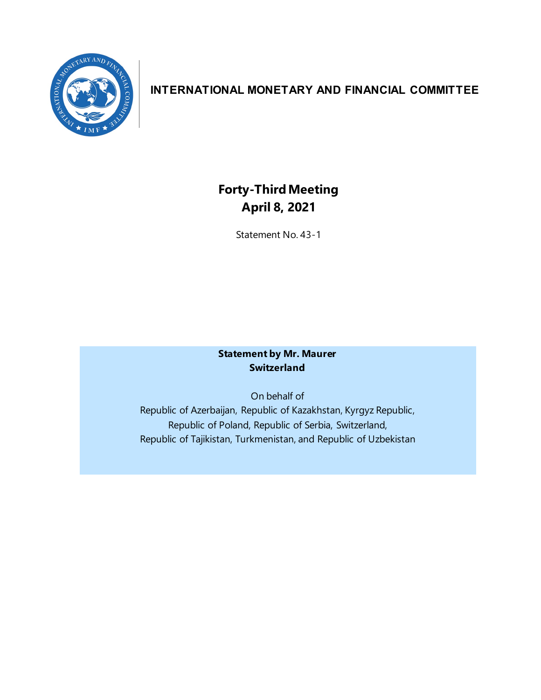

## **INTERNATIONAL MONETARY AND FINANCIAL COMMITTEE**

# **Forty-ThirdMeeting April 8, 2021**

Statement No. 43-1

## **Statement by Mr. Maurer Switzerland**

On behalf of Republic of Azerbaijan, Republic of Kazakhstan, Kyrgyz Republic, Republic of Poland, Republic of Serbia, Switzerland, Republic of Tajikistan, Turkmenistan, and Republic of Uzbekistan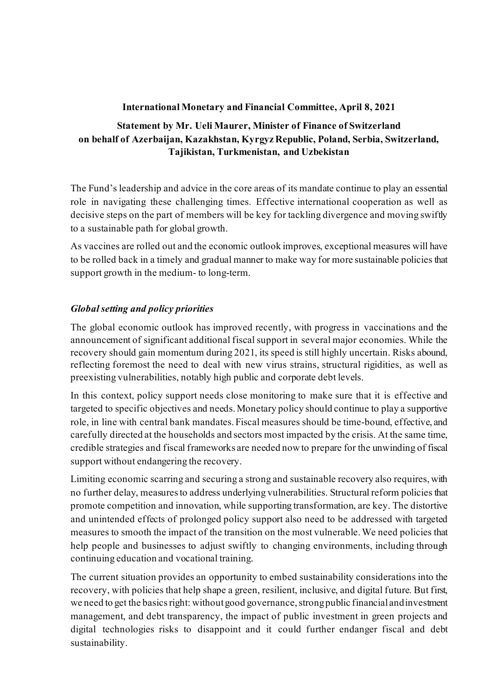## **International Monetary and Financial Committee, April 8, 2021**

## **Statement by Mr. Ueli Maurer, Minister of Finance of Switzerland on behalf of Azerbaijan, Kazakhstan, Kyrgyz Republic, Poland, Serbia, Switzerland, Tajikistan, Turkmenistan, and Uzbekistan**

The Fund's leadership and advice in the core areas of its mandate continue to play an essential role in navigating these challenging times. Effective international cooperation as well as decisive steps on the part of members will be key for tackling divergence and moving swiftly to a sustainable path for global growth.

As vaccines are rolled out and the economic outlook improves, exceptional measures will have to be rolled back in a timely and gradual manner to make way for more sustainable policies that support growth in the medium- to long-term.

## *Global setting and policy priorities*

The global economic outlook has improved recently, with progress in vaccinations and the announcement of significant additional fiscal support in several major economies. While the recovery should gain momentum during 2021, its speed is still highly uncertain. Risks abound, reflecting foremost the need to deal with new virus strains, structural rigidities, as well as preexisting vulnerabilities, notably high public and corporate debt levels.

In this context, policy support needs close monitoring to make sure that it is effective and targeted to specific objectives and needs. Monetary policy should continue to play a supportive role, in line with central bank mandates. Fiscal measures should be time-bound, effective, and carefully directed at the households and sectors most impacted by the crisis. At the same time, credible strategies and fiscal frameworks are needed now to prepare for the unwinding of fiscal support without endangering the recovery.

Limiting economic scarring and securing a strong and sustainable recovery also requires, with no further delay, measuresto address underlying vulnerabilities. Structural reform policies that promote competition and innovation, while supporting transformation, are key. The distortive and unintended effects of prolonged policy support also need to be addressed with targeted measures to smooth the impact of the transition on the most vulnerable. We need policies that help people and businesses to adjust swiftly to changing environments, including through continuing education and vocational training.

The current situation provides an opportunity to embed sustainability considerations into the recovery, with policies that help shape a green, resilient, inclusive, and digital future. But first, we need to get the basics right: without good governance, strong public financial and investment management, and debt transparency, the impact of public investment in green projects and digital technologies risks to disappoint and it could further endanger fiscal and debt sustainability.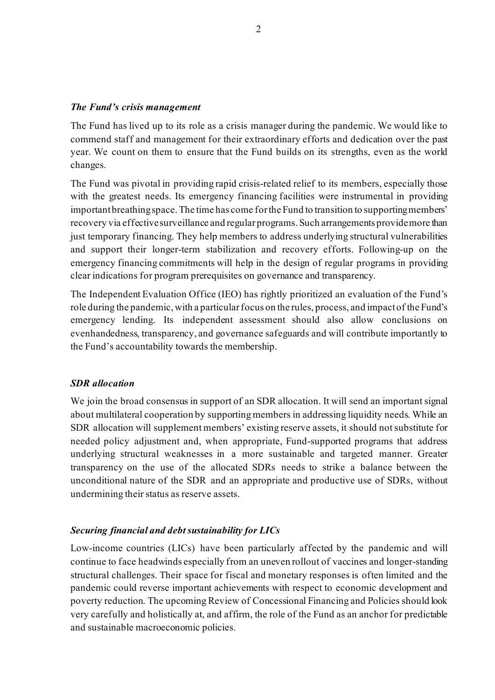#### *The Fund's crisis management*

The Fund has lived up to its role as a crisis manager during the pandemic. We would like to commend staff and management for their extraordinary efforts and dedication over the past year. We count on them to ensure that the Fund builds on its strengths, even as the world changes.

The Fund was pivotal in providing rapid crisis-related relief to its members, especially those with the greatest needs. Its emergency financing facilities were instrumental in providing important breathing space. The time has come for the Fund to transition to supportingmembers' recovery via effective surveillance and regular programs. Such arrangements providemore than just temporary financing. They help members to address underlying structural vulnerabilities and support their longer-term stabilization and recovery efforts. Following-up on the emergency financing commitments will help in the design of regular programs in providing clear indications for program prerequisites on governance and transparency.

The Independent Evaluation Office (IEO) has rightly prioritized an evaluation of the Fund's role during the pandemic, with a particular focus on the rules, process, and impact of the Fund's emergency lending. Its independent assessment should also allow conclusions on evenhandedness, transparency, and governance safeguards and will contribute importantly to the Fund's accountability towards the membership.

#### *SDR allocation*

We join the broad consensus in support of an SDR allocation. It will send an important signal about multilateral cooperation by supporting members in addressing liquidity needs. While an SDR allocation will supplement members' existing reserve assets, it should not substitute for needed policy adjustment and, when appropriate, Fund-supported programs that address underlying structural weaknesses in a more sustainable and targeted manner. Greater transparency on the use of the allocated SDRs needs to strike a balance between the unconditional nature of the SDR and an appropriate and productive use of SDRs, without undermining their status as reserve assets.

#### *Securing financial and debt sustainability for LICs*

Low-income countries (LICs) have been particularly affected by the pandemic and will continue to face headwinds especially from an uneven rollout of vaccines and longer-standing structural challenges. Their space for fiscal and monetary responses is often limited and the pandemic could reverse important achievements with respect to economic development and poverty reduction. The upcoming Review of Concessional Financing and Policies should look very carefully and holistically at, and affirm, the role of the Fund as an anchor for predictable and sustainable macroeconomic policies.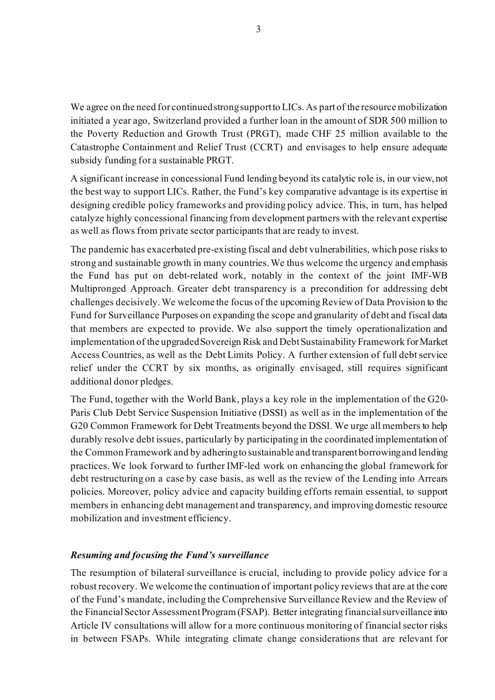We agree on the need for continued strong support to LICs. As part of the resource mobilization initiated a year ago, Switzerland provided a further loan in the amount of SDR 500 million to the Poverty Reduction and Growth Trust (PRGT), made CHF 25 million available to the Catastrophe Containment and Relief Trust (CCRT) and envisages to help ensure adequate subsidy funding for a sustainable PRGT.

A significant increase in concessional Fund lending beyond its catalytic role is, in our view, not the best way to support LICs. Rather, the Fund's key comparative advantage is its expertise in designing credible policy frameworks and providing policy advice. This, in turn, has helped catalyze highly concessional financing from development partners with the relevant expertise as well as flows from private sector participants that are ready to invest.

The pandemic has exacerbated pre-existing fiscal and debt vulnerabilities, which pose risks to strong and sustainable growth in many countries.We thus welcome the urgency and emphasis the Fund has put on debt-related work, notably in the context of the joint IMF-WB Multipronged Approach. Greater debt transparency is a precondition for addressing debt challenges decisively. We welcome the focus of the upcoming Review of Data Provision to the Fund for Surveillance Purposes on expanding the scope and granularity of debt and fiscal data that members are expected to provide. We also support the timely operationalization and implementation of the upgraded Sovereign Risk and Debt Sustainability Framework for Market Access Countries, as well as the Debt Limits Policy. A further extension of full debt service relief under the CCRT by six months, as originally envisaged, still requires significant additional donor pledges.

The Fund, together with the World Bank, plays a key role in the implementation of the G20- Paris Club Debt Service Suspension Initiative (DSSI) as well as in the implementation of the G20 Common Framework for Debt Treatments beyond the DSSI. We urge all members to help durably resolve debt issues, particularly by participating in the coordinated implementation of the Common Framework and by adheringto sustainable and transparent borrowing and lending practices. We look forward to further IMF-led work on enhancing the global framework for debt restructuring on a case by case basis, as well as the review of the Lending into Arrears policies. Moreover, policy advice and capacity building efforts remain essential, to support members in enhancing debt management and transparency, and improving domestic resource mobilization and investment efficiency.

## *Resuming and focusing the Fund's surveillance*

The resumption of bilateral surveillance is crucial, including to provide policy advice for a robust recovery. We welcome the continuation of important policy reviews that are at the core of the Fund's mandate, including the Comprehensive Surveillance Review and the Review of the Financial Sector Assessment Program(FSAP). Better integrating financial surveillance into Article IV consultations will allow for a more continuous monitoring of financial sector risks in between FSAPs. While integrating climate change considerations that are relevant for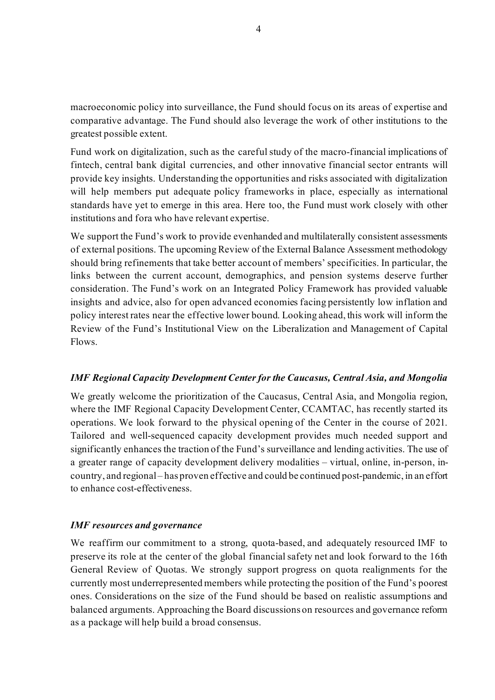macroeconomic policy into surveillance, the Fund should focus on its areas of expertise and comparative advantage. The Fund should also leverage the work of other institutions to the greatest possible extent.

Fund work on digitalization, such as the careful study of the macro-financial implications of fintech, central bank digital currencies, and other innovative financial sector entrants will provide key insights. Understanding the opportunities and risks associated with digitalization will help members put adequate policy frameworks in place, especially as international standards have yet to emerge in this area. Here too, the Fund must work closely with other institutions and fora who have relevant expertise.

We support the Fund's work to provide evenhanded and multilaterally consistent assessments of external positions. The upcoming Review of the External Balance Assessment methodology should bring refinements that take better account of members' specificities. In particular, the links between the current account, demographics, and pension systems deserve further consideration. The Fund's work on an Integrated Policy Framework has provided valuable insights and advice, also for open advanced economies facing persistently low inflation and policy interest rates near the effective lower bound. Looking ahead, this work will inform the Review of the Fund's Institutional View on the Liberalization and Management of Capital Flows.

## *IMF Regional Capacity Development Center for the Caucasus, Central Asia, and Mongolia*

We greatly welcome the prioritization of the Caucasus, Central Asia, and Mongolia region, where the IMF Regional Capacity Development Center, CCAMTAC, has recently started its operations. We look forward to the physical opening of the Center in the course of 2021. Tailored and well-sequenced capacity development provides much needed support and significantly enhances the traction of the Fund's surveillance and lending activities. The use of a greater range of capacity development delivery modalities – virtual, online, in-person, incountry, and regional – has proven effective and could be continued post-pandemic, in an effort to enhance cost-effectiveness.

#### *IMF resources and governance*

We reaffirm our commitment to a strong, quota-based, and adequately resourced IMF to preserve its role at the center of the global financial safety net and look forward to the 16th General Review of Quotas. We strongly support progress on quota realignments for the currently most underrepresented members while protecting the position of the Fund's poorest ones. Considerations on the size of the Fund should be based on realistic assumptions and balanced arguments. Approaching the Board discussions on resources and governance reform as a package will help build a broad consensus.